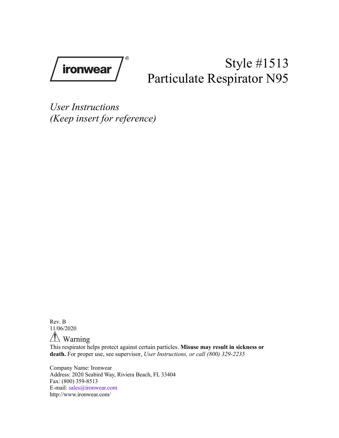ironwear

# Style #1513 Particulate Respirator N95

*User Instructions (Keep insert for reference)*

Rev. B 11/06/2020

Warning

This respirator helps protect against certain particles. **Misuse may result in sickness or death.** For proper use, see supervisor, *User Instructions, or call (800) 329-2235*

Company Name: Ironwear Address: 2020 Seabird Way, Riviera Beach, FL 33404 Fax: (800) 359-8513 E-mail: sales@ironwear.com http://www.ironwear.com/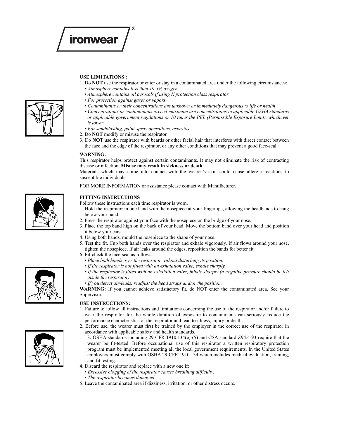

## **USE LIMITATIONS :**

- 1. Do **NOT** use the respirator or enter or stay in a contaminated area under the following circumstances: *• Atmosphere contains less than 19.5% oxygen*
	- *Atmosphere contains oil aerosols if using N protection class respirator*
- *For protection against gases or vapors*
- *Contaminants or their concentrations are unknown or immediately dangerous to life or health*
- *Concentrations or contaminants exceed maximum use concentrations in applicable OSHA standards or applicable government regulations or 10 times the PEL (Permissible Exposure Limit), whichever is lower*
- *For sandblasting, paint-spray operations, asbestos*
- 2. Do **NOT** modify or misuse the respirator.
- 3. Do **NOT** use the respirator with beards or other facial hair that interferes with direct contact between the face and the edge of the respirator, or any other conditions that may prevent a good face-seal.

#### **WARNING:**

This respirator helps protect against certain contaminants. It may not eliminate the risk of contracting disease or infection. **Misuse may result in sickness or death.**

Materials which may come into contact with the wearer's skin could cause allergic reactions to susceptible individuals.

FOR MORE INFORMATION or assistance please contact with Manufacturer.

#### **FITTING INSTRUCTIONS**

Follow these instructions each time respirator is worn.

- 1. Hold the respirator in one hand with the nosepiece at your fingertips, allowing the headbands to hang below your hand.
- 2. Press the respirator against your face with the nosepiece on the bridge of your nose.
- 3. Place the top band high on the back of your head. Move the bottom band over your head and position it below your ears.
- 4. Using both hands, mould the nosepiece to the shape of your nose.
- 5. Test the fit. Cup both hands over the respirator and exhale vigorously. If air flows around your nose, tighten the nosepiece. If air leaks around the edges, reposition the bands for better fit.
- 6. Fit-check the face-seal as follows:
	- *Place both hands over the respirator without disturbing its position.*
	- *If the respirator is not fitted with an exhalation valve, exhale sharply.*
	- *If the respirator is fitted with an exhalation valve, inhale sharply (a negative pressure should be felt inside the respirator).*

*• If you detect air-leaks, readjust the head straps and/or the position.*

**WARNING:** If you cannot achieve satisfactory fit, do NOT enter the contaminated area. See your Supervisor.

#### **USE INSTRUCTIONS:**

- 1. Failure to follow all instructions and limitations concerning the use of the respirator and/or failure to wear the respirator for the whole duration of exposure to contaminants can seriously reduce the performance characteristics of the respirator and lead to illness, injury or death.
- 2. Before use, the wearer must first be trained by the employer in the correct use of the respirator in accordance with applicable safety and health standards.
	- 3. OSHA standards including 29 CFR 1910.134(e) (5) and CSA standard Z94.4-93 require that the wearer be fit-tested. Before occupational use of this respirator a written respiratory protection program must be implemented meeting all the local government requirements. In the United States employers must comply with OSHA 29 CFR 1910.134 which includes medical evaluation, training, and fit testing.
- 4. Discard the respirator and replace with a new one if:
	- *Excessive clogging of the respirator causes breathing difficulty.*
	- *The respirator becomes damaged.*
- 5. Leave the contaminated area if dizziness, irritation, or other distress occurs.